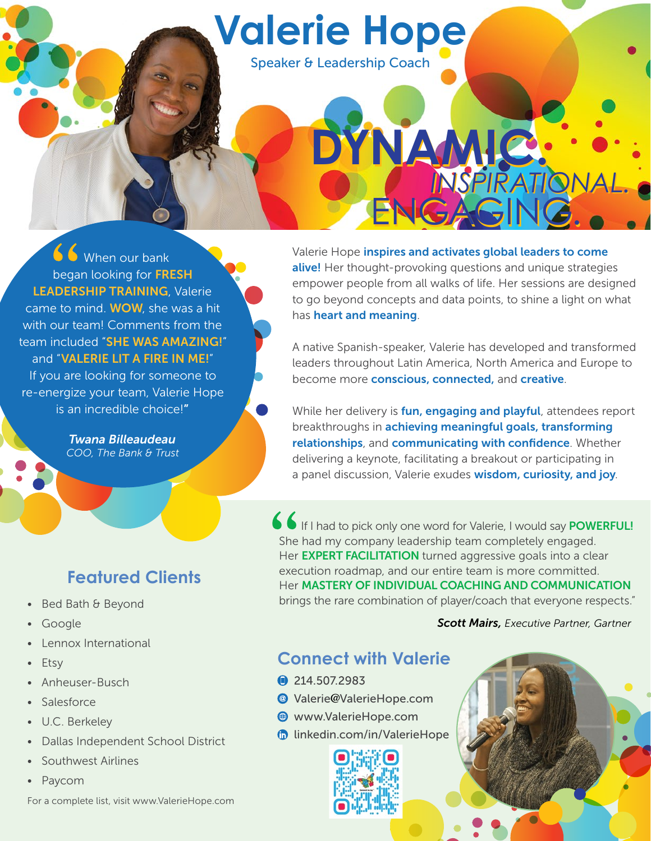

Speaker & Leadership Coach

K When our bank began looking for FRESH LEADERSHIP TRAINING, Valerie came to mind. WOW, she was a hit with our team! Comments from the team included "SHE WAS AMAZING!" and "VALERIE LIT A FIRE IN ME!" If you are looking for someone to re-energize your team, Valerie Hope is an incredible choice!"

> *Twana Billeaudeau COO, The Bank & Trust*

# **Featured Clients**

- Bed Bath & Beyond
- **Google**
- Lennox International
- **Etsy**
- Anheuser-Busch
- **Salesforce**
- U.C. Berkeley
- Dallas Independent School District
- Southwest Airlines
- Paycom

For a complete list, visit www.ValerieHope.com

Valerie Hope inspires and activates global leaders to come alive! Her thought-provoking questions and unique strategies empower people from all walks of life. Her sessions are designed to go beyond concepts and data points, to shine a light on what has heart and meaning.

NGAGI

**INSPIRATION** 

**DYNAMIC. DYNAMIC.**

A native Spanish-speaker, Valerie has developed and transformed leaders throughout Latin America, North America and Europe to become more conscious, connected, and creative.

While her delivery is **fun, engaging and playful**, attendees report breakthroughs in **achieving meaningful goals, transforming** relationships, and communicating with confidence. Whether delivering a keynote, facilitating a breakout or participating in a panel discussion, Valerie exudes wisdom, curiosity, and joy.

If I had to pick only one word for Valerie, I would say **POWERFUL!** She had my company leadership team completely engaged. Her **EXPERT FACILITATION** turned aggressive goals into a clear execution roadmap, and our entire team is more committed. Her **MASTERY OF INDIVIDUAL COACHING AND COMMUNICATION** brings the rare combination of player/coach that everyone respects."

*Scott Mairs, Executive Partner, Gartner*

## **Connect with Valerie**

- **1214.507.2983**
- Valerie@ValerieHope.com
- www.ValerieHope.com
- *C* [linkedin.com/in/ValerieHope](http://linkedin.com/in/ValerieHope)